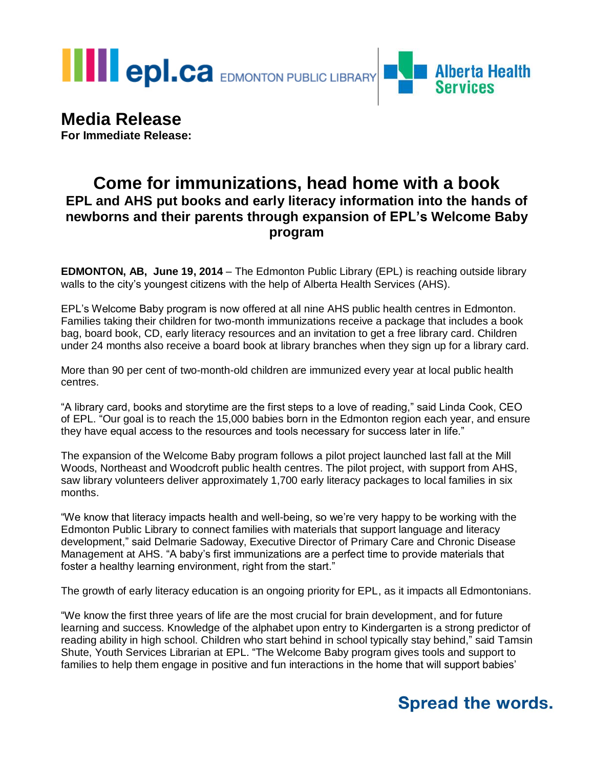**THE EPI.CA** EDMONTON PUBLIC LIBRARY



# **Media Release**

**For Immediate Release:**

### **Come for immunizations, head home with a book EPL and AHS put books and early literacy information into the hands of newborns and their parents through expansion of EPL's Welcome Baby program**

**EDMONTON, AB, June 19, 2014** – The Edmonton Public Library (EPL) is reaching outside library walls to the city's youngest citizens with the help of Alberta Health Services (AHS).

EPL's Welcome Baby program is now offered at all nine AHS public health centres in Edmonton. Families taking their children for two-month immunizations receive a package that includes a book bag, board book, CD, early literacy resources and an invitation to get a free library card. Children under 24 months also receive a board book at library branches when they sign up for a library card.

More than 90 per cent of two-month-old children are immunized every year at local public health centres.

"A library card, books and storytime are the first steps to a love of reading," said Linda Cook, CEO of EPL. "Our goal is to reach the 15,000 babies born in the Edmonton region each year, and ensure they have equal access to the resources and tools necessary for success later in life."

The expansion of the Welcome Baby program follows a pilot project launched last fall at the Mill Woods, Northeast and Woodcroft public health centres. The pilot project, with support from AHS, saw library volunteers deliver approximately 1,700 early literacy packages to local families in six months.

"We know that literacy impacts health and well-being, so we're very happy to be working with the Edmonton Public Library to connect families with materials that support language and literacy development," said Delmarie Sadoway, Executive Director of Primary Care and Chronic Disease Management at AHS. "A baby's first immunizations are a perfect time to provide materials that foster a healthy learning environment, right from the start."

The growth of early literacy education is an ongoing priority for EPL, as it impacts all Edmontonians.

"We know the first three years of life are the most crucial for brain development, and for future learning and success. Knowledge of the alphabet upon entry to Kindergarten is a strong predictor of reading ability in high school. Children who start behind in school typically stay behind," said Tamsin Shute, Youth Services Librarian at EPL. "The Welcome Baby program gives tools and support to families to help them engage in positive and fun interactions in the home that will support babies'

## **Spread the words.**